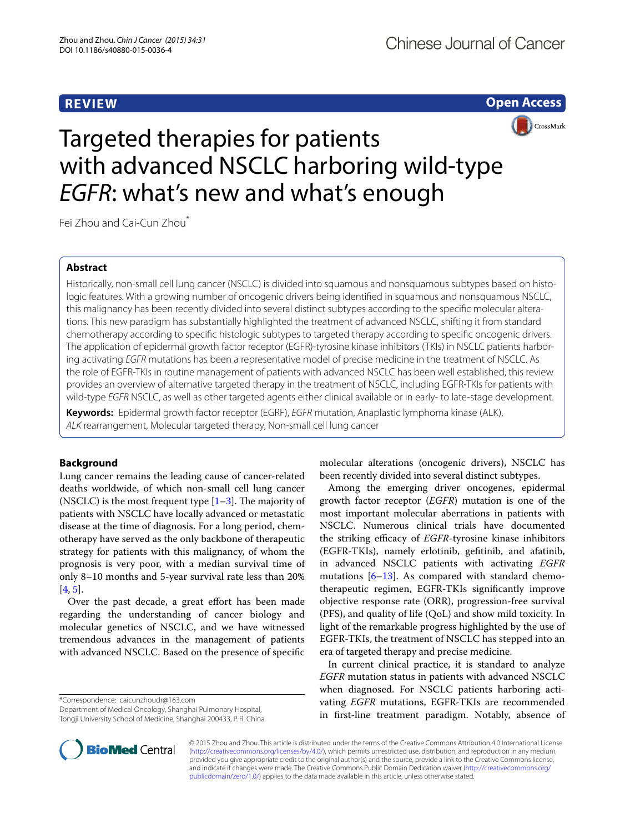## **REVIEW**

**Open Access**

CrossMark

# Targeted therapies for patients with advanced NSCLC harboring wild-type *EGFR*: what's new and what's enough

Fei Zhou and Cai-Cun Zhou<sup>\*</sup>

## **Abstract**

Historically, non-small cell lung cancer (NSCLC) is divided into squamous and nonsquamous subtypes based on histologic features. With a growing number of oncogenic drivers being identified in squamous and nonsquamous NSCLC, this malignancy has been recently divided into several distinct subtypes according to the specific molecular alterations. This new paradigm has substantially highlighted the treatment of advanced NSCLC, shifting it from standard chemotherapy according to specific histologic subtypes to targeted therapy according to specific oncogenic drivers. The application of epidermal growth factor receptor (EGFR)-tyrosine kinase inhibitors (TKIs) in NSCLC patients harbor‑ ing activating *EGFR* mutations has been a representative model of precise medicine in the treatment of NSCLC. As the role of EGFR-TKIs in routine management of patients with advanced NSCLC has been well established, this review provides an overview of alternative targeted therapy in the treatment of NSCLC, including EGFR-TKIs for patients with wild-type *EGFR* NSCLC, as well as other targeted agents either clinical available or in early- to late-stage development.

**Keywords:** Epidermal growth factor receptor (EGRF), *EGFR* mutation, Anaplastic lymphoma kinase (ALK), *ALK* rearrangement, Molecular targeted therapy, Non-small cell lung cancer

## **Background**

Lung cancer remains the leading cause of cancer-related deaths worldwide, of which non-small cell lung cancer (NSCLC) is the most frequent type  $[1-3]$  $[1-3]$  $[1-3]$ . The majority of patients with NSCLC have locally advanced or metastatic disease at the time of diagnosis. For a long period, chemotherapy have served as the only backbone of therapeutic strategy for patients with this malignancy, of whom the prognosis is very poor, with a median survival time of only 8–10 months and 5-year survival rate less than 20% [[4,](#page-6-2) [5](#page-6-3)].

Over the past decade, a great effort has been made regarding the understanding of cancer biology and molecular genetics of NSCLC, and we have witnessed tremendous advances in the management of patients with advanced NSCLC. Based on the presence of specific

\*Correspondence: caicunzhoudr@163.com

Department of Medical Oncology, Shanghai Pulmonary Hospital, Tongji University School of Medicine, Shanghai 200433, P. R. China molecular alterations (oncogenic drivers), NSCLC has been recently divided into several distinct subtypes.

Among the emerging driver oncogenes, epidermal growth factor receptor (*EGFR*) mutation is one of the most important molecular aberrations in patients with NSCLC. Numerous clinical trials have documented the striking efficacy of *EGFR*-tyrosine kinase inhibitors (EGFR-TKIs), namely erlotinib, gefitinib, and afatinib, in advanced NSCLC patients with activating *EGFR* mutations  $[6-13]$  $[6-13]$  $[6-13]$ . As compared with standard chemotherapeutic regimen, EGFR-TKIs significantly improve objective response rate (ORR), progression-free survival (PFS), and quality of life (QoL) and show mild toxicity. In light of the remarkable progress highlighted by the use of EGFR-TKIs, the treatment of NSCLC has stepped into an era of targeted therapy and precise medicine.

In current clinical practice, it is standard to analyze *EGFR* mutation status in patients with advanced NSCLC when diagnosed. For NSCLC patients harboring activating *EGFR* mutations, EGFR-TKIs are recommended in first-line treatment paradigm. Notably, absence of



© 2015 Zhou and Zhou. This article is distributed under the terms of the Creative Commons Attribution 4.0 International License [\(http://creativecommons.org/licenses/by/4.0/\)](http://creativecommons.org/licenses/by/4.0/), which permits unrestricted use, distribution, and reproduction in any medium, provided you give appropriate credit to the original author(s) and the source, provide a link to the Creative Commons license, and indicate if changes were made. The Creative Commons Public Domain Dedication waiver ([http://creativecommons.org/](http://creativecommons.org/publicdomain/zero/1.0/) [publicdomain/zero/1.0/](http://creativecommons.org/publicdomain/zero/1.0/)) applies to the data made available in this article, unless otherwise stated.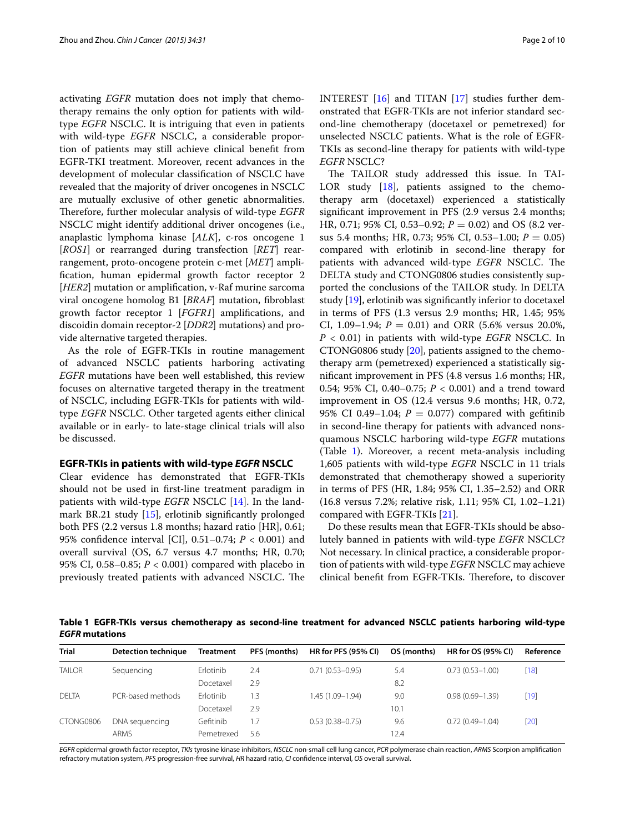activating *EGFR* mutation does not imply that chemotherapy remains the only option for patients with wildtype *EGFR* NSCLC. It is intriguing that even in patients with wild-type *EGFR* NSCLC, a considerable proportion of patients may still achieve clinical benefit from EGFR-TKI treatment. Moreover, recent advances in the development of molecular classification of NSCLC have revealed that the majority of driver oncogenes in NSCLC are mutually exclusive of other genetic abnormalities. Therefore, further molecular analysis of wild-type *EGFR* NSCLC might identify additional driver oncogenes (i.e., anaplastic lymphoma kinase [*ALK*], c-ros oncogene 1 [*ROS1*] or rearranged during transfection [*RET*] rearrangement, proto-oncogene protein c-met [*MET*] amplification, human epidermal growth factor receptor 2 [*HER2*] mutation or amplification, v-Raf murine sarcoma viral oncogene homolog B1 [*BRAF*] mutation, fibroblast growth factor receptor 1 [*FGFR1*] amplifications, and discoidin domain receptor-2 [*DDR2*] mutations) and provide alternative targeted therapies.

As the role of EGFR-TKIs in routine management of advanced NSCLC patients harboring activating *EGFR* mutations have been well established, this review focuses on alternative targeted therapy in the treatment of NSCLC, including EGFR-TKIs for patients with wildtype *EGFR* NSCLC. Other targeted agents either clinical available or in early- to late-stage clinical trials will also be discussed.

#### **EGFR‑TKIs in patients with wild‑type** *EGFR* **NSCLC**

Clear evidence has demonstrated that EGFR-TKIs should not be used in first-line treatment paradigm in patients with wild-type *EGFR* NSCLC [\[14](#page-7-1)]. In the landmark BR.21 study [\[15](#page-7-2)], erlotinib significantly prolonged both PFS (2.2 versus 1.8 months; hazard ratio [HR], 0.61; 95% confidence interval [CI], 0.51–0.74; *P* < 0.001) and overall survival (OS, 6.7 versus 4.7 months; HR, 0.70; 95% CI, 0.58–0.85; *P* < 0.001) compared with placebo in previously treated patients with advanced NSCLC. The INTEREST [[16\]](#page-7-3) and TITAN [[17](#page-7-4)] studies further demonstrated that EGFR-TKIs are not inferior standard second-line chemotherapy (docetaxel or pemetrexed) for unselected NSCLC patients. What is the role of EGFR-TKIs as second-line therapy for patients with wild-type *EGFR* NSCLC?

The TAILOR study addressed this issue. In TAI-LOR study [[18\]](#page-7-5), patients assigned to the chemotherapy arm (docetaxel) experienced a statistically significant improvement in PFS (2.9 versus 2.4 months; HR, 0.71; 95% CI, 0.53–0.92; *P* = 0.02) and OS (8.2 versus 5.4 months; HR, 0.73; 95% CI, 0.53–1.00; *P* = 0.05) compared with erlotinib in second-line therapy for patients with advanced wild-type *EGFR* NSCLC. The DELTA study and CTONG0806 studies consistently supported the conclusions of the TAILOR study. In DELTA study [\[19](#page-7-6)], erlotinib was significantly inferior to docetaxel in terms of PFS (1.3 versus 2.9 months; HR, 1.45; 95% CI, 1.09–1.94;  $P = 0.01$ ) and ORR (5.6% versus 20.0%, *P* < 0.01) in patients with wild-type *EGFR* NSCLC. In CTONG0806 study [[20](#page-7-7)], patients assigned to the chemotherapy arm (pemetrexed) experienced a statistically significant improvement in PFS (4.8 versus 1.6 months; HR, 0.54; 95% CI, 0.40-0.75; *P* < 0.001) and a trend toward improvement in OS (12.4 versus 9.6 months; HR, 0.72, 95% CI 0.49–1.04;  $P = 0.077$ ) compared with gefitinib in second-line therapy for patients with advanced nonsquamous NSCLC harboring wild-type *EGFR* mutations (Table [1](#page-1-0)). Moreover, a recent meta-analysis including 1,605 patients with wild-type *EGFR* NSCLC in 11 trials demonstrated that chemotherapy showed a superiority in terms of PFS (HR, 1.84; 95% CI, 1.35–2.52) and ORR (16.8 versus 7.2%; relative risk, 1.11; 95% CI, 1.02–1.21) compared with EGFR-TKIs [[21](#page-7-8)].

Do these results mean that EGFR-TKIs should be absolutely banned in patients with wild-type *EGFR* NSCLC? Not necessary. In clinical practice, a considerable proportion of patients with wild-type *EGFR* NSCLC may achieve clinical benefit from EGFR-TKIs. Therefore, to discover

<span id="page-1-0"></span>**Table 1 EGFR-TKIs versus chemotherapy as second-line treatment for advanced NSCLC patients harboring wild-type**  *EGFR* **mutations**

| <b>Trial</b>  | <b>Detection technique</b> | <b>Treatment</b> | PFS (months) | <b>HR for PFS (95% CI)</b> | OS (months) | <b>HR for OS (95% CI)</b> | Reference |
|---------------|----------------------------|------------------|--------------|----------------------------|-------------|---------------------------|-----------|
| <b>TAILOR</b> | Sequencing                 | Erlotinib        | 2.4          | $0.71(0.53 - 0.95)$        | 5.4         | $0.73(0.53 - 1.00)$       | $[18]$    |
|               |                            | Docetaxel        | 2.9          |                            | 8.2         |                           |           |
| <b>DELTA</b>  | PCR-based methods          | Frlotinib        | $\cdot$ 3    | $1.45(1.09 - 1.94)$        | 9.0         | $0.98(0.69 - 1.39)$       | $[19]$    |
|               |                            | Docetaxel        | 2.9          |                            | 10.1        |                           |           |
| CTONG0806     | DNA sequencing             | Gefitinib        | .7           | $0.53(0.38 - 0.75)$        | 9.6         | $0.72(0.49 - 1.04)$       | $[20]$    |
|               | <b>ARMS</b>                | Pemetrexed       | 5.6          |                            | 12.4        |                           |           |

*EGFR* epidermal growth factor receptor, *TKIs* tyrosine kinase inhibitors, *NSCLC* non-small cell lung cancer, *PCR* polymerase chain reaction, *ARMS* Scorpion amplification refractory mutation system, *PFS* progression-free survival, *HR* hazard ratio, *CI* confidence interval, *OS* overall survival.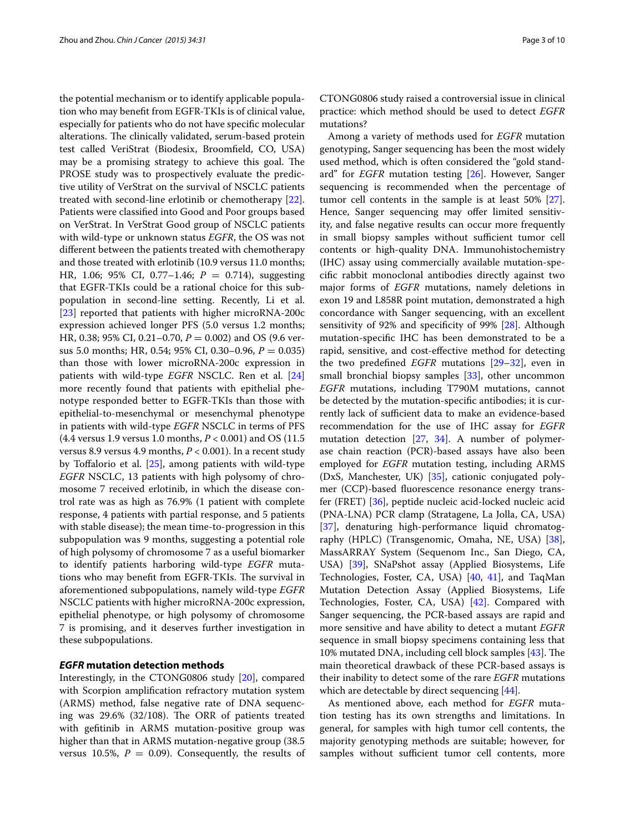the potential mechanism or to identify applicable population who may benefit from EGFR-TKIs is of clinical value, especially for patients who do not have specific molecular alterations. The clinically validated, serum-based protein test called VeriStrat (Biodesix, Broomfield, CO, USA) may be a promising strategy to achieve this goal. The PROSE study was to prospectively evaluate the predictive utility of VerStrat on the survival of NSCLC patients treated with second-line erlotinib or chemotherapy [\[22](#page-7-9)]. Patients were classified into Good and Poor groups based on VerStrat. In VerStrat Good group of NSCLC patients with wild-type or unknown status *EGFR*, the OS was not different between the patients treated with chemotherapy and those treated with erlotinib (10.9 versus 11.0 months; HR, 1.06; 95% CI, 0.77–1.46; *P* = 0.714), suggesting that EGFR-TKIs could be a rational choice for this subpopulation in second-line setting. Recently, Li et al. [[23\]](#page-7-10) reported that patients with higher microRNA-200c expression achieved longer PFS (5.0 versus 1.2 months; HR, 0.38; 95% CI, 0.21–0.70, *P* = 0.002) and OS (9.6 versus 5.0 months; HR, 0.54; 95% CI, 0.30–0.96, *P* = 0.035) than those with lower microRNA-200c expression in patients with wild-type *EGFR* NSCLC. Ren et al. [[24](#page-7-11)] more recently found that patients with epithelial phenotype responded better to EGFR-TKIs than those with epithelial-to-mesenchymal or mesenchymal phenotype in patients with wild-type *EGFR* NSCLC in terms of PFS (4.4 versus 1.9 versus 1.0 months, *P* < 0.001) and OS (11.5 versus 8.9 versus 4.9 months, *P* < 0.001). In a recent study by Toffalorio et al. [\[25\]](#page-7-12), among patients with wild-type *EGFR* NSCLC, 13 patients with high polysomy of chromosome 7 received erlotinib, in which the disease control rate was as high as 76.9% (1 patient with complete response, 4 patients with partial response, and 5 patients with stable disease); the mean time-to-progression in this subpopulation was 9 months, suggesting a potential role of high polysomy of chromosome 7 as a useful biomarker to identify patients harboring wild-type *EGFR* mutations who may benefit from EGFR-TKIs. The survival in aforementioned subpopulations, namely wild-type *EGFR* NSCLC patients with higher microRNA-200c expression, epithelial phenotype, or high polysomy of chromosome 7 is promising, and it deserves further investigation in these subpopulations.

#### *EGFR* **mutation detection methods**

Interestingly, in the CTONG0806 study [[20](#page-7-7)], compared with Scorpion amplification refractory mutation system (ARMS) method, false negative rate of DNA sequencing was 29.6% (32/108). The ORR of patients treated with gefitinib in ARMS mutation-positive group was higher than that in ARMS mutation-negative group (38.5 versus 10.5%,  $P = 0.09$ . Consequently, the results of

CTONG0806 study raised a controversial issue in clinical practice: which method should be used to detect *EGFR* mutations?

Among a variety of methods used for *EGFR* mutation genotyping, Sanger sequencing has been the most widely used method, which is often considered the "gold standard'' for *EGFR* mutation testing [\[26\]](#page-7-13). However, Sanger sequencing is recommended when the percentage of tumor cell contents in the sample is at least 50% [\[27](#page-7-14)]. Hence, Sanger sequencing may offer limited sensitivity, and false negative results can occur more frequently in small biopsy samples without sufficient tumor cell contents or high-quality DNA. Immunohistochemistry (IHC) assay using commercially available mutation-specific rabbit monoclonal antibodies directly against two major forms of *EGFR* mutations, namely deletions in exon 19 and L858R point mutation, demonstrated a high concordance with Sanger sequencing, with an excellent sensitivity of 92% and specificity of 99% [[28\]](#page-7-15). Although mutation-specific IHC has been demonstrated to be a rapid, sensitive, and cost-effective method for detecting the two predefined *EGFR* mutations [\[29](#page-7-16)[–32](#page-7-17)], even in small bronchial biopsy samples [\[33](#page-7-18)], other uncommon *EGFR* mutations, including T790M mutations, cannot be detected by the mutation-specific antibodies; it is currently lack of sufficient data to make an evidence-based recommendation for the use of IHC assay for *EGFR* mutation detection [\[27](#page-7-14), [34](#page-7-19)]. A number of polymerase chain reaction (PCR)-based assays have also been employed for *EGFR* mutation testing, including ARMS (DxS, Manchester, UK) [\[35](#page-7-20)], cationic conjugated polymer (CCP)-based fluorescence resonance energy transfer (FRET) [[36\]](#page-7-21), peptide nucleic acid-locked nucleic acid (PNA-LNA) PCR clamp (Stratagene, La Jolla, CA, USA) [[37\]](#page-7-22), denaturing high-performance liquid chromatography (HPLC) (Transgenomic, Omaha, NE, USA) [\[38](#page-7-23)], MassARRAY System (Sequenom Inc., San Diego, CA, USA) [[39\]](#page-7-24), SNaPshot assay (Applied Biosystems, Life Technologies, Foster, CA, USA) [\[40,](#page-7-25) [41\]](#page-7-26), and TaqMan Mutation Detection Assay (Applied Biosystems, Life Technologies, Foster, CA, USA) [\[42](#page-7-27)]. Compared with Sanger sequencing, the PCR-based assays are rapid and more sensitive and have ability to detect a mutant *EGFR* sequence in small biopsy specimens containing less that 10% mutated DNA, including cell block samples [[43\]](#page-8-0). The main theoretical drawback of these PCR-based assays is their inability to detect some of the rare *EGFR* mutations which are detectable by direct sequencing [[44\]](#page-8-1).

As mentioned above, each method for *EGFR* mutation testing has its own strengths and limitations. In general, for samples with high tumor cell contents, the majority genotyping methods are suitable; however, for samples without sufficient tumor cell contents, more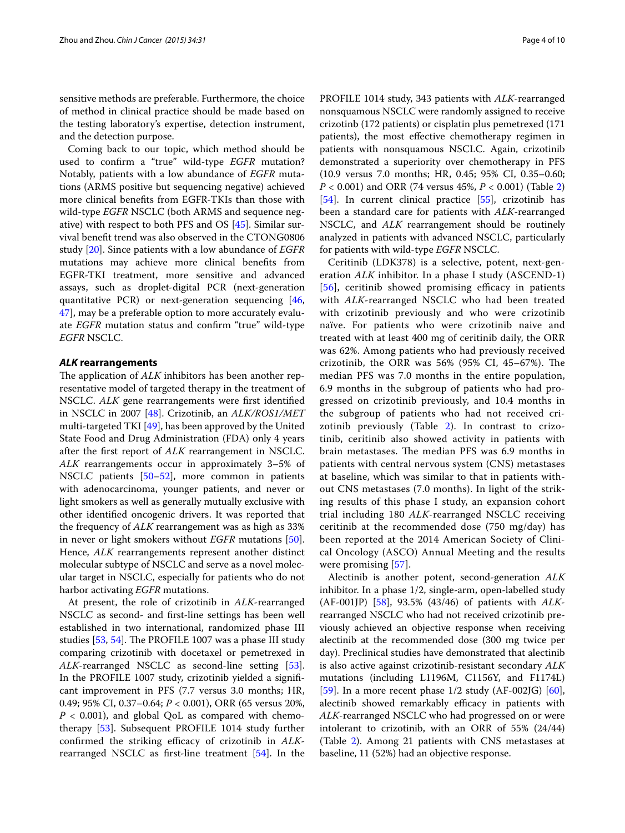sensitive methods are preferable. Furthermore, the choice of method in clinical practice should be made based on the testing laboratory's expertise, detection instrument, and the detection purpose.

Coming back to our topic, which method should be used to confirm a "true" wild-type *EGFR* mutation? Notably, patients with a low abundance of *EGFR* mutations (ARMS positive but sequencing negative) achieved more clinical benefits from EGFR-TKIs than those with wild-type *EGFR* NSCLC (both ARMS and sequence negative) with respect to both PFS and OS [\[45\]](#page-8-2). Similar survival benefit trend was also observed in the CTONG0806 study [[20\]](#page-7-7). Since patients with a low abundance of *EGFR* mutations may achieve more clinical benefits from EGFR-TKI treatment, more sensitive and advanced assays, such as droplet-digital PCR (next-generation quantitative PCR) or next-generation sequencing [\[46](#page-8-3), [47\]](#page-8-4), may be a preferable option to more accurately evaluate *EGFR* mutation status and confirm "true" wild-type *EGFR* NSCLC.

#### *ALK* **rearrangements**

The application of *ALK* inhibitors has been another representative model of targeted therapy in the treatment of NSCLC. *ALK* gene rearrangements were first identified in NSCLC in 2007 [\[48\]](#page-8-5). Crizotinib, an *ALK/ROS1/MET* multi-targeted TKI  $[49]$ , has been approved by the United State Food and Drug Administration (FDA) only 4 years after the first report of *ALK* rearrangement in NSCLC. *ALK* rearrangements occur in approximately 3–5% of NSCLC patients [\[50](#page-8-7)[–52](#page-8-8)], more common in patients with adenocarcinoma, younger patients, and never or light smokers as well as generally mutually exclusive with other identified oncogenic drivers. It was reported that the frequency of *ALK* rearrangement was as high as 33% in never or light smokers without *EGFR* mutations [\[50](#page-8-7)]. Hence, *ALK* rearrangements represent another distinct molecular subtype of NSCLC and serve as a novel molecular target in NSCLC, especially for patients who do not harbor activating *EGFR* mutations.

At present, the role of crizotinib in *ALK*-rearranged NSCLC as second- and first-line settings has been well established in two international, randomized phase III studies [[53,](#page-8-9) [54](#page-8-10)]. The PROFILE 1007 was a phase III study comparing crizotinib with docetaxel or pemetrexed in ALK-rearranged NSCLC as second-line setting [\[53](#page-8-9)]. In the PROFILE 1007 study, crizotinib yielded a significant improvement in PFS (7.7 versus 3.0 months; HR, 0.49; 95% CI, 0.37–0.64; *P* < 0.001), ORR (65 versus 20%,  $P < 0.001$ ), and global QoL as compared with chemotherapy [\[53](#page-8-9)]. Subsequent PROFILE 1014 study further confirmed the striking efficacy of crizotinib in *ALK*rearranged NSCLC as first-line treatment [[54\]](#page-8-10). In the

PROFILE 1014 study, 343 patients with *ALK*-rearranged nonsquamous NSCLC were randomly assigned to receive crizotinb (172 patients) or cisplatin plus pemetrexed (171 patients), the most effective chemotherapy regimen in patients with nonsquamous NSCLC. Again, crizotinib demonstrated a superiority over chemotherapy in PFS (10.9 versus 7.0 months; HR, 0.45; 95% CI, 0.35–0.60; *P* < 0.001) and ORR (74 versus 45%, *P* < 0.001) (Table [2](#page-4-0)) [[54\]](#page-8-10). In current clinical practice [[55\]](#page-8-11), crizotinib has been a standard care for patients with *ALK*-rearranged NSCLC, and *ALK* rearrangement should be routinely analyzed in patients with advanced NSCLC, particularly for patients with wild-type *EGFR* NSCLC.

Ceritinib (LDK378) is a selective, potent, next-generation *ALK* inhibitor. In a phase I study (ASCEND-1) [[56](#page-8-12)], ceritinib showed promising efficacy in patients with *ALK*-rearranged NSCLC who had been treated with crizotinib previously and who were crizotinib naïve. For patients who were crizotinib naive and treated with at least 400 mg of ceritinib daily, the ORR was 62%. Among patients who had previously received crizotinib, the ORR was 56% (95% CI, 45–67%). The median PFS was 7.0 months in the entire population, 6.9 months in the subgroup of patients who had progressed on crizotinib previously, and 10.4 months in the subgroup of patients who had not received crizotinib previously (Table [2](#page-4-0)). In contrast to crizotinib, ceritinib also showed activity in patients with brain metastases. The median PFS was 6.9 months in patients with central nervous system (CNS) metastases at baseline, which was similar to that in patients without CNS metastases (7.0 months). In light of the striking results of this phase I study, an expansion cohort trial including 180 *ALK*-rearranged NSCLC receiving ceritinib at the recommended dose (750 mg/day) has been reported at the 2014 American Society of Clinical Oncology (ASCO) Annual Meeting and the results were promising [[57](#page-8-13)].

Alectinib is another potent, second-generation *ALK* inhibitor. In a phase 1/2, single-arm, open-labelled study (AF-001JP) [[58](#page-8-14)], 93.5% (43/46) of patients with *ALK*rearranged NSCLC who had not received crizotinib previously achieved an objective response when receiving alectinib at the recommended dose (300 mg twice per day). Preclinical studies have demonstrated that alectinib is also active against crizotinib-resistant secondary *ALK* mutations (including L1196M, C1156Y, and F1174L) [[59\]](#page-8-15). In a more recent phase  $1/2$  study (AF-002JG) [\[60](#page-8-16)], alectinib showed remarkably efficacy in patients with *ALK*-rearranged NSCLC who had progressed on or were intolerant to crizotinib, with an ORR of 55% (24/44) (Table [2\)](#page-4-0). Among 21 patients with CNS metastases at baseline, 11 (52%) had an objective response.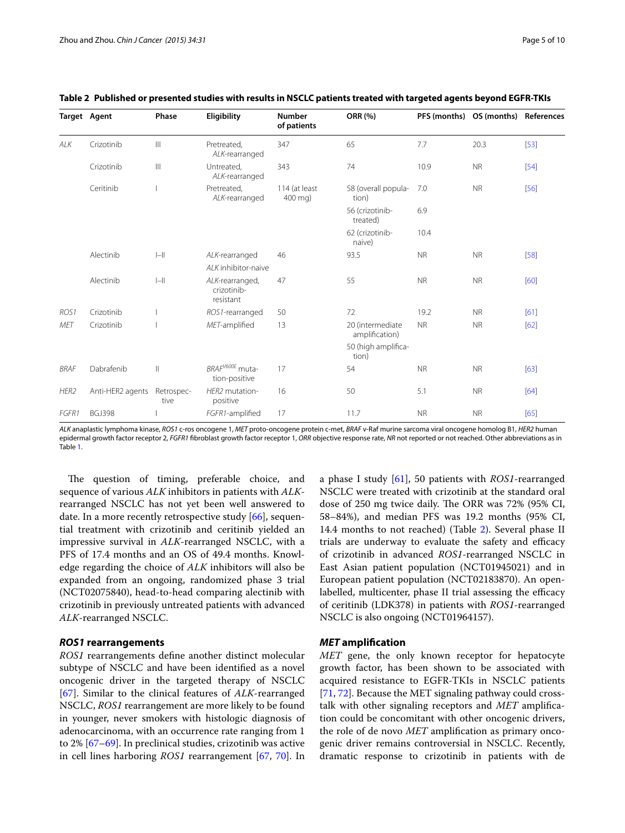|                  | <b>Target Agent</b> | Phase                                 | Eligibility                                  | <b>Number</b><br>of patients | <b>ORR (%)</b>                     |           | PFS (months) OS (months) References |        |
|------------------|---------------------|---------------------------------------|----------------------------------------------|------------------------------|------------------------------------|-----------|-------------------------------------|--------|
| ALK              | Crizotinib          | $\begin{array}{c} \hline \end{array}$ | Pretreated,<br>ALK-rearranged                | 347                          | 65                                 | 7.7       | 20.3                                | $[53]$ |
|                  | Crizotinib          | $\begin{array}{c} \hline \end{array}$ | Untreated,<br>ALK-rearranged                 | 343                          | 74                                 | 10.9      | <b>NR</b>                           | $[54]$ |
|                  | Ceritinib           |                                       | Pretreated,<br>ALK-rearranged                | 114 (at least<br>400 mg)     | 58 (overall popula-<br>tion)       | 7.0       | <b>NR</b>                           | $[56]$ |
|                  |                     |                                       |                                              |                              | 56 (crizotinib-<br>treated)        | 6.9       |                                     |        |
|                  |                     |                                       |                                              |                              | 62 (crizotinib-<br>naive)          | 10.4      |                                     |        |
|                  | Alectinib           | $\left\  - \right\ $                  | ALK-rearranged                               | 46                           | 93.5                               | <b>NR</b> | <b>NR</b>                           | $[58]$ |
|                  |                     |                                       | Al K inhibitor-naive                         |                              |                                    |           |                                     |        |
|                  | Alectinib           | $\left\  - \right\ $                  | ALK-rearranged,<br>crizotinib-<br>resistant  | 47                           | 55                                 | <b>NR</b> | <b>NR</b>                           | [60]   |
| ROS <sub>1</sub> | Crizotinib          |                                       | ROS1-rearranged                              | 50                           | 72                                 | 19.2      | <b>NR</b>                           | [61]   |
| <b>MET</b>       | Crizotinib          |                                       | MET-amplified                                | 13                           | 20 (intermediate<br>amplification) | <b>NR</b> | <b>NR</b>                           | [62]   |
|                  |                     |                                       |                                              |                              | 50 (high amplifica-<br>tion)       |           |                                     |        |
| <b>BRAF</b>      | Dabrafenib          | $\mathbf{I}$                          | BRAF <sup>V600E</sup> muta-<br>tion-positive | 17                           | 54                                 | <b>NR</b> | <b>NR</b>                           | $[63]$ |
| HER2             | Anti-HER2 agents    | Retrospec-<br>tive                    | HER2 mutation-<br>positive                   | 16                           | 50                                 | 5.1       | <b>NR</b>                           | $[64]$ |
| FGFR1            | <b>BGJ398</b>       |                                       | FGFR1-amplified                              | 17                           | 11.7                               | <b>NR</b> | <b>NR</b>                           | [65]   |

## <span id="page-4-0"></span>**Table 2 Published or presented studies with results in NSCLC patients treated with targeted agents beyond EGFR-TKIs**

*ALK* anaplastic lymphoma kinase, *ROS1* c-ros oncogene 1, *MET* proto-oncogene protein c-met, *BRAF* v-Raf murine sarcoma viral oncogene homolog B1, *HER2* human epidermal growth factor receptor 2, *FGFR1* fibroblast growth factor receptor 1, *ORR* objective response rate, *NR* not reported or not reached. Other abbreviations as in Table [1](#page-1-0).

The question of timing, preferable choice, and sequence of various *ALK* inhibitors in patients with *ALK*rearranged NSCLC has not yet been well answered to date. In a more recently retrospective study [\[66](#page-8-17)], sequential treatment with crizotinib and ceritinib yielded an impressive survival in *ALK*-rearranged NSCLC, with a PFS of 17.4 months and an OS of 49.4 months. Knowledge regarding the choice of *ALK* inhibitors will also be expanded from an ongoing, randomized phase 3 trial (NCT02075840), head-to-head comparing alectinib with crizotinib in previously untreated patients with advanced *ALK*-rearranged NSCLC.

## *ROS1* **rearrangements**

*ROS1* rearrangements define another distinct molecular subtype of NSCLC and have been identified as a novel oncogenic driver in the targeted therapy of NSCLC [[67\]](#page-8-18). Similar to the clinical features of *ALK*-rearranged NSCLC, *ROS1* rearrangement are more likely to be found in younger, never smokers with histologic diagnosis of adenocarcinoma, with an occurrence rate ranging from 1 to 2% [[67](#page-8-18)[–69](#page-8-19)]. In preclinical studies, crizotinib was active in cell lines harboring *ROS1* rearrangement [\[67](#page-8-18), [70\]](#page-8-20). In

a phase I study [\[61](#page-8-21)], 50 patients with *ROS1*-rearranged NSCLC were treated with crizotinib at the standard oral dose of 250 mg twice daily. The ORR was 72% (95% CI, 58–84%), and median PFS was 19.2 months (95% CI, 14.4 months to not reached) (Table [2\)](#page-4-0). Several phase II trials are underway to evaluate the safety and efficacy of crizotinib in advanced *ROS1*-rearranged NSCLC in East Asian patient population (NCT01945021) and in European patient population (NCT02183870). An openlabelled, multicenter, phase II trial assessing the efficacy of ceritinib (LDK378) in patients with *ROS1*-rearranged NSCLC is also ongoing (NCT01964157).

## *MET* **amplification**

*MET* gene, the only known receptor for hepatocyte growth factor, has been shown to be associated with acquired resistance to EGFR-TKIs in NSCLC patients [[71,](#page-8-22) [72](#page-8-23)]. Because the MET signaling pathway could crosstalk with other signaling receptors and *MET* amplification could be concomitant with other oncogenic drivers, the role of de novo *MET* amplification as primary oncogenic driver remains controversial in NSCLC. Recently, dramatic response to crizotinib in patients with de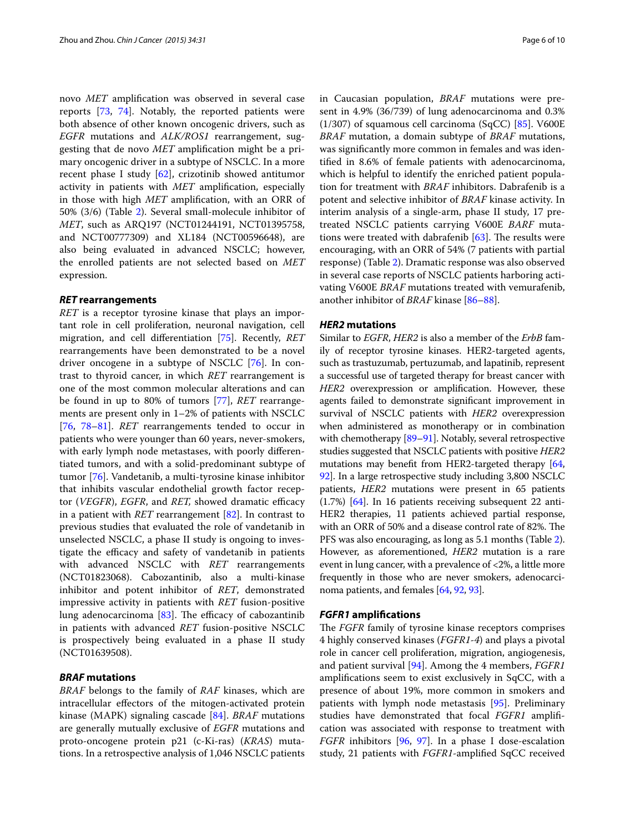novo *MET* amplification was observed in several case reports [\[73](#page-8-28), [74\]](#page-8-29). Notably, the reported patients were both absence of other known oncogenic drivers, such as *EGFR* mutations and *ALK/ROS1* rearrangement, suggesting that de novo *MET* amplification might be a primary oncogenic driver in a subtype of NSCLC. In a more recent phase I study [[62\]](#page-8-24), crizotinib showed antitumor activity in patients with *MET* amplification, especially in those with high *MET* amplification, with an ORR of 50% (3/6) (Table [2\)](#page-4-0). Several small-molecule inhibitor of *MET*, such as ARQ197 (NCT01244191, NCT01395758, and NCT00777309) and XL184 (NCT00596648), are also being evaluated in advanced NSCLC; however, the enrolled patients are not selected based on *MET* expression.

#### *RET* **rearrangements**

*RET* is a receptor tyrosine kinase that plays an important role in cell proliferation, neuronal navigation, cell migration, and cell differentiation [\[75](#page-8-30)]. Recently, *RET* rearrangements have been demonstrated to be a novel driver oncogene in a subtype of NSCLC [\[76\]](#page-8-31). In contrast to thyroid cancer, in which *RET* rearrangement is one of the most common molecular alterations and can be found in up to 80% of tumors [[77](#page-8-32)], *RET* rearrangements are present only in 1–2% of patients with NSCLC [[76,](#page-8-32) [78](#page-8-33)[–81\]](#page-8-34). *RET* rearrangements tended to occur in patients who were younger than 60 years, never-smokers, with early lymph node metastases, with poorly differentiated tumors, and with a solid-predominant subtype of tumor [\[76\]](#page-8-31). Vandetanib, a multi-tyrosine kinase inhibitor that inhibits vascular endothelial growth factor receptor (*VEGFR*), *EGFR*, and *RET,* showed dramatic efficacy in a patient with *RET* rearrangement [[82\]](#page-8-35). In contrast to previous studies that evaluated the role of vandetanib in unselected NSCLC, a phase II study is ongoing to investigate the efficacy and safety of vandetanib in patients with advanced NSCLC with *RET* rearrangements (NCT01823068). Cabozantinib, also a multi-kinase inhibitor and potent inhibitor of *RET*, demonstrated impressive activity in patients with *RET* fusion-positive lung adenocarcinoma [\[83](#page-8-36)]. The efficacy of cabozantinib in patients with advanced *RET* fusion-positive NSCLC is prospectively being evaluated in a phase II study (NCT01639508).

## *BRAF* **mutations**

*BRAF* belongs to the family of *RAF* kinases, which are intracellular effectors of the mitogen-activated protein kinase (MAPK) signaling cascade [[84\]](#page-8-37). *BRAF* mutations are generally mutually exclusive of *EGFR* mutations and proto-oncogene protein p21 (c-Ki-ras) (*KRAS*) mutations. In a retrospective analysis of 1,046 NSCLC patients in Caucasian population, *BRAF* mutations were present in 4.9% (36/739) of lung adenocarcinoma and 0.3%  $(1/307)$  of squamous cell carcinoma (SqCC) [\[85\]](#page-8-38). V600E *BRAF* mutation, a domain subtype of *BRAF* mutations, was significantly more common in females and was identified in 8.6% of female patients with adenocarcinoma, which is helpful to identify the enriched patient population for treatment with *BRAF* inhibitors. Dabrafenib is a potent and selective inhibitor of *BRAF* kinase activity. In interim analysis of a single-arm, phase II study, 17 pretreated NSCLC patients carrying V600E *BARF* mutations were treated with dabrafenib [[63\]](#page-8-25). The results were encouraging, with an ORR of 54% (7 patients with partial response) (Table [2](#page-4-0)). Dramatic response was also observed in several case reports of NSCLC patients harboring activating V600E *BRAF* mutations treated with vemurafenib, another inhibitor of *BRAF* kinase [\[86](#page-8-39)[–88\]](#page-9-0).

## *HER2* **mutations**

Similar to *EGFR*, *HER2* is also a member of the *ErbB* family of receptor tyrosine kinases. HER2-targeted agents, such as trastuzumab, pertuzumab, and lapatinib, represent a successful use of targeted therapy for breast cancer with *HER2* overexpression or amplification. However, these agents failed to demonstrate significant improvement in survival of NSCLC patients with *HER2* overexpression when administered as monotherapy or in combination with chemotherapy [[89](#page-9-1)-91]. Notably, several retrospective studies suggested that NSCLC patients with positive *HER2* mutations may benefit from HER2-targeted therapy [[64](#page-8-26), [92](#page-9-3)]. In a large retrospective study including 3,800 NSCLC patients, *HER2* mutations were present in 65 patients (1.7%) [\[64](#page-8-26)]. In 16 patients receiving subsequent 22 anti-HER2 therapies, 11 patients achieved partial response, with an ORR of 50% and a disease control rate of 82%. The PFS was also encouraging, as long as 5.1 months (Table [2](#page-4-0)). However, as aforementioned, *HER2* mutation is a rare event in lung cancer, with a prevalence of <2%, a little more frequently in those who are never smokers, adenocarcinoma patients, and females [[64](#page-8-26), [92](#page-9-3), [93](#page-9-4)].

#### *FGFR1* **amplifications**

The *FGFR* family of tyrosine kinase receptors comprises 4 highly conserved kinases (*FGFR1*-*4*) and plays a pivotal role in cancer cell proliferation, migration, angiogenesis, and patient survival [[94\]](#page-9-5). Among the 4 members, *FGFR1* amplifications seem to exist exclusively in SqCC, with a presence of about 19%, more common in smokers and patients with lymph node metastasis [[95](#page-9-6)]. Preliminary studies have demonstrated that focal *FGFR1* amplification was associated with response to treatment with *FGFR* inhibitors [[96](#page-9-7), [97](#page-9-8)]. In a phase I dose-escalation study, 21 patients with *FGFR1*-amplified SqCC received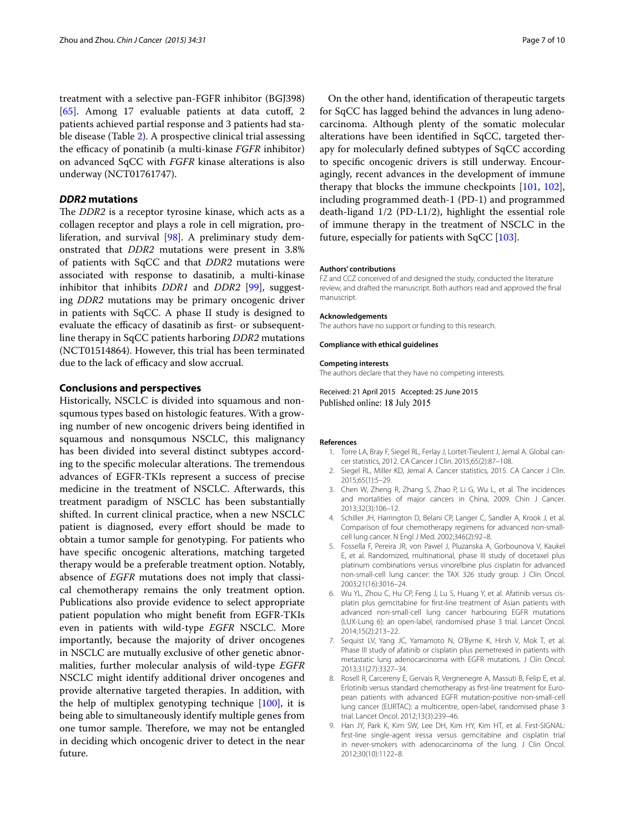treatment with a selective pan-FGFR inhibitor (BGJ398) [[65\]](#page-8-27). Among 17 evaluable patients at data cutoff, 2 patients achieved partial response and 3 patients had stable disease (Table [2\)](#page-4-0). A prospective clinical trial assessing the efficacy of ponatinib (a multi-kinase *FGFR* inhibitor) on advanced SqCC with *FGFR* kinase alterations is also underway (NCT01761747).

## *DDR2* **mutations**

The *DDR2* is a receptor tyrosine kinase, which acts as a collagen receptor and plays a role in cell migration, proliferation, and survival [[98](#page-9-9)]. A preliminary study demonstrated that *DDR2* mutations were present in 3.8% of patients with SqCC and that *DDR2* mutations were associated with response to dasatinib, a multi-kinase inhibitor that inhibits *DDR1* and *DDR2* [\[99\]](#page-9-10), suggesting *DDR2* mutations may be primary oncogenic driver in patients with SqCC. A phase II study is designed to evaluate the efficacy of dasatinib as first- or subsequentline therapy in SqCC patients harboring *DDR2* mutations (NCT01514864). However, this trial has been terminated due to the lack of efficacy and slow accrual.

#### **Conclusions and perspectives**

Historically, NSCLC is divided into squamous and nonsqumous types based on histologic features. With a growing number of new oncogenic drivers being identified in squamous and nonsqumous NSCLC, this malignancy has been divided into several distinct subtypes according to the specific molecular alterations. The tremendous advances of EGFR-TKIs represent a success of precise medicine in the treatment of NSCLC. Afterwards, this treatment paradigm of NSCLC has been substantially shifted. In current clinical practice, when a new NSCLC patient is diagnosed, every effort should be made to obtain a tumor sample for genotyping. For patients who have specific oncogenic alterations, matching targeted therapy would be a preferable treatment option. Notably, absence of *EGFR* mutations does not imply that classical chemotherapy remains the only treatment option. Publications also provide evidence to select appropriate patient population who might benefit from EGFR-TKIs even in patients with wild-type *EGFR* NSCLC. More importantly, because the majority of driver oncogenes in NSCLC are mutually exclusive of other genetic abnormalities, further molecular analysis of wild-type *EGFR* NSCLC might identify additional driver oncogenes and provide alternative targeted therapies. In addition, with the help of multiplex genotyping technique [\[100](#page-9-11)], it is being able to simultaneously identify multiple genes from one tumor sample. Therefore, we may not be entangled in deciding which oncogenic driver to detect in the near future.

On the other hand, identification of therapeutic targets for SqCC has lagged behind the advances in lung adenocarcinoma. Although plenty of the somatic molecular alterations have been identified in SqCC, targeted therapy for molecularly defined subtypes of SqCC according to specific oncogenic drivers is still underway. Encouragingly, recent advances in the development of immune therapy that blocks the immune checkpoints [\[101,](#page-9-12) [102](#page-9-13)], including programmed death-1 (PD-1) and programmed death-ligand 1/2 (PD-L1/2), highlight the essential role of immune therapy in the treatment of NSCLC in the future, especially for patients with SqCC [\[103\]](#page-9-14).

#### **Authors' contributions**

FZ and CCZ conceived of and designed the study, conducted the literature review, and drafted the manuscript. Both authors read and approved the final manuscript.

#### **Acknowledgements**

The authors have no support or funding to this research.

#### **Compliance with ethical guidelines**

#### **Competing interests**

The authors declare that they have no competing interests.

Received: 21 April 2015 Accepted: 25 June 2015 Published online: 18 July 2015

#### <span id="page-6-0"></span>**References**

- 1. Torre LA, Bray F, Siegel RL, Ferlay J, Lortet-Tieulent J, Jemal A. Global cancer statistics, 2012. CA Cancer J Clin. 2015;65(2):87–108.
- Siegel RL, Miller KD, Jemal A. Cancer statistics, 2015. CA Cancer J Clin. 2015;65(1):5–29.
- <span id="page-6-1"></span>3. Chen W, Zheng R, Zhang S, Zhao P, Li G, Wu L, et al. The incidences and mortalities of major cancers in China, 2009. Chin J Cancer. 2013;32(3):106–12.
- <span id="page-6-2"></span>4. Schiller JH, Harrington D, Belani CP, Langer C, Sandler A, Krook J, et al. Comparison of four chemotherapy regimens for advanced non-smallcell lung cancer. N Engl J Med. 2002;346(2):92–8.
- <span id="page-6-3"></span>5. Fossella F, Pereira JR, von Pawel J, Pluzanska A, Gorbounova V, Kaukel E, et al. Randomized, multinational, phase III study of docetaxel plus platinum combinations versus vinorelbine plus cisplatin for advanced non-small-cell lung cancer: the TAX 326 study group. J Clin Oncol. 2003;21(16):3016–24.
- <span id="page-6-4"></span>6. Wu YL, Zhou C, Hu CP, Feng J, Lu S, Huang Y, et al. Afatinib versus cisplatin plus gemcitabine for first-line treatment of Asian patients with advanced non-small-cell lung cancer harbouring EGFR mutations (LUX-Lung 6): an open-label, randomised phase 3 trial. Lancet Oncol. 2014;15(2):213–22.
- 7. Sequist LV, Yang JC, Yamamoto N, O'Byrne K, Hirsh V, Mok T, et al. Phase III study of afatinib or cisplatin plus pemetrexed in patients with metastatic lung adenocarcinoma with EGFR mutations. J Clin Oncol. 2013;31(27):3327–34.
- 8. Rosell R, Carcereny E, Gervais R, Vergnenegre A, Massuti B, Felip E, et al. Erlotinib versus standard chemotherapy as first-line treatment for European patients with advanced EGFR mutation-positive non-small-cell lung cancer (EURTAC): a multicentre, open-label, randomised phase 3 trial. Lancet Oncol. 2012;13(3):239–46.
- Han JY, Park K, Kim SW, Lee DH, Kim HY, Kim HT, et al. First-SIGNAL: first-line single-agent iressa versus gemcitabine and cisplatin trial in never-smokers with adenocarcinoma of the lung. J Clin Oncol. 2012;30(10):1122–8.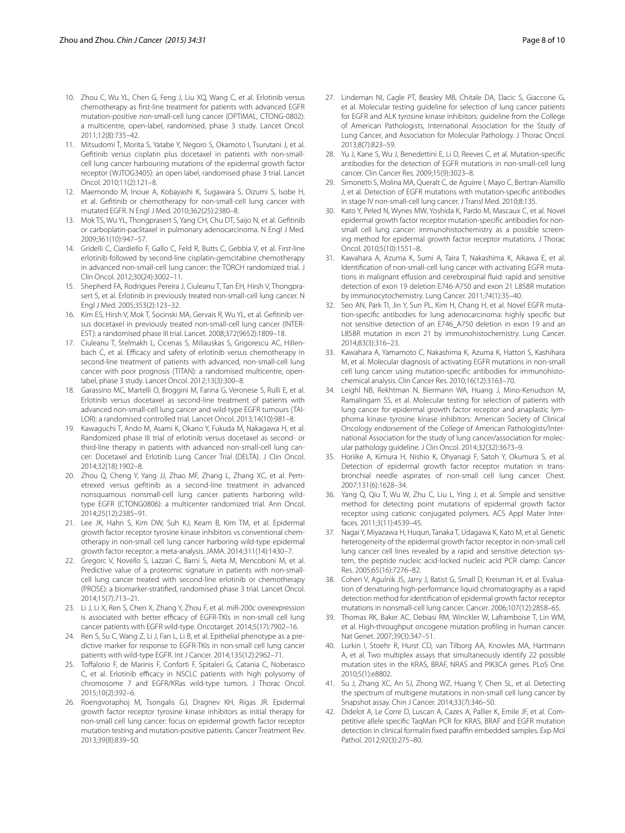- 10. Zhou C, Wu YL, Chen G, Feng J, Liu XQ, Wang C, et al. Erlotinib versus chemotherapy as first-line treatment for patients with advanced EGFR mutation-positive non-small-cell lung cancer (OPTIMAL, CTONG-0802): a multicentre, open-label, randomised, phase 3 study. Lancet Oncol. 2011;12(8):735–42.
- 11. Mitsudomi T, Morita S, Yatabe Y, Negoro S, Okamoto I, Tsurutani J, et al. Gefitinib versus cisplatin plus docetaxel in patients with non-smallcell lung cancer harbouring mutations of the epidermal growth factor receptor (WJTOG3405): an open label, randomised phase 3 trial. Lancet Oncol. 2010;11(2):121–8.
- 12. Maemondo M, Inoue A, Kobayashi K, Sugawara S, Oizumi S, Isobe H, et al. Gefitinib or chemotherapy for non-small-cell lung cancer with mutated EGFR. N Engl J Med. 2010;362(25):2380–8.
- <span id="page-7-0"></span>13. Mok TS, Wu YL, Thongprasert S, Yang CH, Chu DT, Saijo N, et al. Gefitinib or carboplatin-paclitaxel in pulmonary adenocarcinoma. N Engl J Med. 2009;361(10):947–57.
- <span id="page-7-1"></span>14. Gridelli C, Ciardiello F, Gallo C, Feld R, Butts C, Gebbia V, et al. First-line erlotinib followed by second-line cisplatin-gemcitabine chemotherapy in advanced non-small-cell lung cancer: the TORCH randomized trial. J Clin Oncol. 2012;30(24):3002–11.
- <span id="page-7-2"></span>15. Shepherd FA, Rodrigues Pereira J, Ciuleanu T, Tan EH, Hirsh V, Thongprasert S, et al. Erlotinib in previously treated non-small-cell lung cancer. N Engl J Med. 2005;353(2):123–32.
- <span id="page-7-3"></span>16. Kim ES, Hirsh V, Mok T, Socinski MA, Gervais R, Wu YL, et al. Gefitinib versus docetaxel in previously treated non-small-cell lung cancer (INTER-EST): a randomised phase III trial. Lancet. 2008;372(9652):1809–18.
- <span id="page-7-4"></span>17. Ciuleanu T, Stelmakh L, Cicenas S, Miliauskas S, Grigorescu AC, Hillenbach C, et al. Efficacy and safety of erlotinib versus chemotherapy in second-line treatment of patients with advanced, non-small-cell lung cancer with poor prognosis (TITAN): a randomised multicentre, openlabel, phase 3 study. Lancet Oncol. 2012;13(3):300–8.
- <span id="page-7-5"></span>18. Garassino MC, Martelli O, Broggini M, Farina G, Veronese S, Rulli E, et al. Erlotinib versus docetaxel as second-line treatment of patients with advanced non-small-cell lung cancer and wild-type EGFR tumours (TAI-LOR): a randomised controlled trial. Lancet Oncol. 2013;14(10):981–8.
- <span id="page-7-6"></span>19. Kawaguchi T, Ando M, Asami K, Okano Y, Fukuda M, Nakagawa H, et al. Randomized phase III trial of erlotinib versus docetaxel as second- or third-line therapy in patients with advanced non-small-cell lung cancer: Docetaxel and Erlotinib Lung Cancer Trial (DELTA). J Clin Oncol. 2014;32(18):1902–8.
- <span id="page-7-7"></span>20. Zhou Q, Cheng Y, Yang JJ, Zhao MF, Zhang L, Zhang XC, et al. Pemetrexed versus gefitinib as a second-line treatment in advanced nonsquamous nonsmall-cell lung cancer patients harboring wildtype EGFR (CTONG0806): a multicenter randomized trial. Ann Oncol. 2014;25(12):2385–91.
- <span id="page-7-8"></span>21. Lee JK, Hahn S, Kim DW, Suh KJ, Keam B, Kim TM, et al. Epidermal growth factor receptor tyrosine kinase inhibitors vs conventional chemotherapy in non-small cell lung cancer harboring wild-type epidermal growth factor receptor: a meta-analysis. JAMA. 2014;311(14):1430–7.
- <span id="page-7-9"></span>22. Gregorc V, Novello S, Lazzari C, Barni S, Aieta M, Mencoboni M, et al. Predictive value of a proteomic signature in patients with non-smallcell lung cancer treated with second-line erlotinib or chemotherapy (PROSE): a biomarker-stratified, randomised phase 3 trial. Lancet Oncol. 2014;15(7):713–21.
- <span id="page-7-10"></span>23. Li J, Li X, Ren S, Chen X, Zhang Y, Zhou F, et al. miR-200c overexpression is associated with better efficacy of EGFR-TKIs in non-small cell lung cancer patients with EGFR wild-type. Oncotarget. 2014;5(17):7902–16.
- <span id="page-7-11"></span>24. Ren S, Su C, Wang Z, Li J, Fan L, Li B, et al. Epithelial phenotype as a predictive marker for response to EGFR-TKIs in non-small cell lung cancer patients with wild-type EGFR. Int J Cancer. 2014;135(12):2962–71.
- <span id="page-7-12"></span>25. Toffalorio F, de Marinis F, Conforti F, Spitaleri G, Catania C, Noberasco C, et al. Erlotinib efficacy in NSCLC patients with high polysomy of chromosome 7 and EGFR/KRas wild-type tumors. J Thorac Oncol. 2015;10(2):392–6.
- <span id="page-7-13"></span>26. Roengvoraphoj M, Tsongalis GJ, Dragnev KH, Rigas JR. Epidermal growth factor receptor tyrosine kinase inhibitors as initial therapy for non-small cell lung cancer: focus on epidermal growth factor receptor mutation testing and mutation-positive patients. Cancer Treatment Rev. 2013;39(8):839–50.
- <span id="page-7-14"></span>27. Lindeman NI, Cagle PT, Beasley MB, Chitale DA, Dacic S, Giaccone G, et al. Molecular testing guideline for selection of lung cancer patients for EGFR and ALK tyrosine kinase inhibitors: guideline from the College of American Pathologists, International Association for the Study of Lung Cancer, and Association for Molecular Pathology. J Thorac Oncol. 2013;8(7):823–59.
- <span id="page-7-15"></span>28. Yu J, Kane S, Wu J, Benedettini E, Li D, Reeves C, et al. Mutation-specific antibodies for the detection of EGFR mutations in non-small-cell lung cancer. Clin Cancer Res. 2009;15(9):3023–8.
- <span id="page-7-16"></span>29. Simonetti S, Molina MA, Queralt C, de Aguirre I, Mayo C, Bertran-Alamillo J, et al. Detection of EGFR mutations with mutation-specific antibodies in stage IV non-small-cell lung cancer. J Transl Med. 2010;8:135.
- 30. Kato Y, Peled N, Wynes MW, Yoshida K, Pardo M, Mascaux C, et al. Novel epidermal growth factor receptor mutation-specific antibodies for nonsmall cell lung cancer: immunohistochemistry as a possible screening method for epidermal growth factor receptor mutations. J Thorac Oncol. 2010;5(10):1551–8.
- 31. Kawahara A, Azuma K, Sumi A, Taira T, Nakashima K, Aikawa E, et al. Identification of non-small-cell lung cancer with activating EGFR mutations in malignant effusion and cerebrospinal fluid: rapid and sensitive detection of exon 19 deletion E746-A750 and exon 21 L858R mutation by immunocytochemistry. Lung Cancer. 2011;74(1):35–40.
- <span id="page-7-17"></span>32. Seo AN, Park TI, Jin Y, Sun PL, Kim H, Chang H, et al. Novel EGFR mutation-specific antibodies for lung adenocarcinoma: highly specific but not sensitive detection of an E746\_A750 deletion in exon 19 and an L858R mutation in exon 21 by immunohistochemistry. Lung Cancer. 2014;83(3):316–23.
- <span id="page-7-18"></span>33. Kawahara A, Yamamoto C, Nakashima K, Azuma K, Hattori S, Kashihara M, et al. Molecular diagnosis of activating EGFR mutations in non-small cell lung cancer using mutation-specific antibodies for immunohistochemical analysis. Clin Cancer Res. 2010;16(12):3163–70.
- <span id="page-7-19"></span>34. Leighl NB, Rekhtman N, Biermann WA, Huang J, Mino-Kenudson M, Ramalingam SS, et al. Molecular testing for selection of patients with lung cancer for epidermal growth factor receptor and anaplastic lymphoma kinase tyrosine kinase inhibitors: American Society of Clinical Oncology endorsement of the College of American Pathologists/Inter‑ national Association for the study of lung cancer/association for molecular pathology guideline. J Clin Oncol. 2014;32(32):3673–9.
- <span id="page-7-20"></span>35. Horiike A, Kimura H, Nishio K, Ohyanagi F, Satoh Y, Okumura S, et al. Detection of epidermal growth factor receptor mutation in transbronchial needle aspirates of non-small cell lung cancer. Chest. 2007;131(6):1628–34.
- <span id="page-7-21"></span>36. Yang Q, Qiu T, Wu W, Zhu C, Liu L, Ying J, et al. Simple and sensitive method for detecting point mutations of epidermal growth factor receptor using cationic conjugated polymers. ACS Appl Mater Interfaces. 2011;3(11):4539–45.
- <span id="page-7-22"></span>37. Nagai Y, Miyazawa H, Huqun, Tanaka T, Udagawa K, Kato M, et al. Genetic heterogeneity of the epidermal growth factor receptor in non-small cell lung cancer cell lines revealed by a rapid and sensitive detection system, the peptide nucleic acid-locked nucleic acid PCR clamp. Cancer Res. 2005;65(16):7276–82.
- <span id="page-7-23"></span>38. Cohen V, Agulnik JS, Jarry J, Batist G, Small D, Kreisman H, et al. Evaluation of denaturing high-performance liquid chromatography as a rapid detection method for identification of epidermal growth factor receptor mutations in nonsmall-cell lung cancer. Cancer. 2006;107(12):2858–65.
- <span id="page-7-24"></span>39. Thomas RK, Baker AC, Debiasi RM, Winckler W, Laframboise T, Lin WM, et al. High-throughput oncogene mutation profiling in human cancer. Nat Genet. 2007;39(3):347–51.
- <span id="page-7-25"></span>40. Lurkin I, Stoehr R, Hurst CD, van Tilborg AA, Knowles MA, Hartmann A, et al. Two multiplex assays that simultaneously identify 22 possible mutation sites in the KRAS, BRAF, NRAS and PIK3CA genes. PLoS One. 2010;5(1):e8802.
- <span id="page-7-26"></span>41. Su J, Zhang XC, An SJ, Zhong WZ, Huang Y, Chen SL, et al. Detecting the spectrum of multigene mutations in non-small cell lung cancer by Snapshot assay. Chin J Cancer. 2014;33(7):346–50.
- <span id="page-7-27"></span>42. Didelot A, Le Corre D, Luscan A, Cazes A, Pallier K, Emile JF, et al. Competitive allele specific TaqMan PCR for KRAS, BRAF and EGFR mutation detection in clinical formalin fixed paraffin embedded samples. Exp Mol Pathol. 2012;92(3):275–80.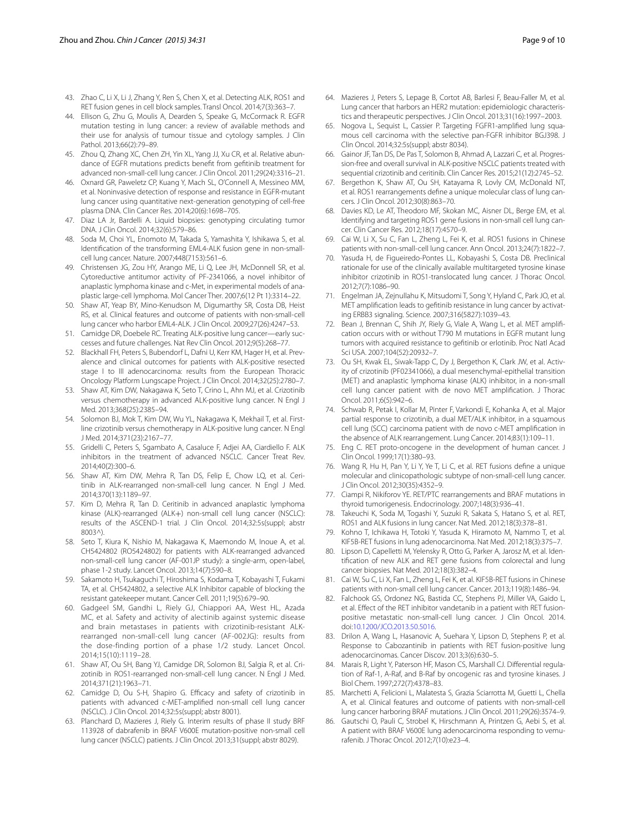- <span id="page-8-0"></span>43. Zhao C, Li X, Li J, Zhang Y, Ren S, Chen X, et al. Detecting ALK, ROS1 and RET fusion genes in cell block samples. Transl Oncol. 2014;7(3):363–7.
- <span id="page-8-1"></span>44. Ellison G, Zhu G, Moulis A, Dearden S, Speake G, McCormack R. EGFR mutation testing in lung cancer: a review of available methods and their use for analysis of tumour tissue and cytology samples. J Clin Pathol. 2013;66(2):79–89.
- <span id="page-8-2"></span>45. Zhou Q, Zhang XC, Chen ZH, Yin XL, Yang JJ, Xu CR, et al. Relative abundance of EGFR mutations predicts benefit from gefitinib treatment for advanced non-small-cell lung cancer. J Clin Oncol. 2011;29(24):3316–21.
- <span id="page-8-3"></span>46. Oxnard GR, Paweletz CP, Kuang Y, Mach SL, O'Connell A, Messineo MM, et al. Noninvasive detection of response and resistance in EGFR-mutant lung cancer using quantitative next-generation genotyping of cell-free plasma DNA. Clin Cancer Res. 2014;20(6):1698–705.
- <span id="page-8-4"></span>47. Diaz LA Jr, Bardelli A. Liquid biopsies: genotyping circulating tumor DNA. J Clin Oncol. 2014;32(6):579–86.
- <span id="page-8-5"></span>48. Soda M, Choi YL, Enomoto M, Takada S, Yamashita Y, Ishikawa S, et al. Identification of the transforming EML4-ALK fusion gene in non-smallcell lung cancer. Nature. 2007;448(7153):561–6.
- <span id="page-8-6"></span>49. Christensen JG, Zou HY, Arango ME, Li Q, Lee JH, McDonnell SR, et al. Cytoreductive antitumor activity of PF-2341066, a novel inhibitor of anaplastic lymphoma kinase and c-Met, in experimental models of anaplastic large-cell lymphoma. Mol Cancer Ther. 2007;6(12 Pt 1):3314–22.
- <span id="page-8-7"></span>Shaw AT, Yeap BY, Mino-Kenudson M, Digumarthy SR, Costa DB, Heist RS, et al. Clinical features and outcome of patients with non-small-cell lung cancer who harbor EML4-ALK. J Clin Oncol. 2009;27(26):4247–53.
- 51. Camidge DR, Doebele RC. Treating ALK-positive lung cancer—early successes and future challenges. Nat Rev Clin Oncol. 2012;9(5):268–77.
- <span id="page-8-8"></span>52. Blackhall FH, Peters S, Bubendorf L, Dafni U, Kerr KM, Hager H, et al. Prevalence and clinical outcomes for patients with ALK-positive resected stage I to III adenocarcinoma: results from the European Thoracic Oncology Platform Lungscape Project. J Clin Oncol. 2014;32(25):2780–7.
- <span id="page-8-9"></span>53. Shaw AT, Kim DW, Nakagawa K, Seto T, Crino L, Ahn MJ, et al. Crizotinib versus chemotherapy in advanced ALK-positive lung cancer. N Engl J Med. 2013;368(25):2385–94.
- <span id="page-8-10"></span>54. Solomon BJ, Mok T, Kim DW, Wu YL, Nakagawa K, Mekhail T, et al. Firstline crizotinib versus chemotherapy in ALK-positive lung cancer. N Engl J Med. 2014;371(23):2167–77.
- <span id="page-8-11"></span>55. Gridelli C, Peters S, Sgambato A, Casaluce F, Adjei AA, Ciardiello F. ALK inhibitors in the treatment of advanced NSCLC. Cancer Treat Rev. 2014;40(2):300–6.
- <span id="page-8-12"></span>56. Shaw AT, Kim DW, Mehra R, Tan DS, Felip E, Chow LQ, et al. Ceritinib in ALK-rearranged non-small-cell lung cancer. N Engl J Med. 2014;370(13):1189–97.
- <span id="page-8-13"></span>57. Kim D, Mehra R, Tan D. Ceritinib in advanced anaplastic lymphoma kinase (ALK)-rearranged (ALK+) non-small cell lung cancer (NSCLC): results of the ASCEND-1 trial. J Clin Oncol. 2014;32:5s(suppl; abstr 8003^)
- <span id="page-8-14"></span>58. Seto T, Kiura K, Nishio M, Nakagawa K, Maemondo M, Inoue A, et al. CH5424802 (RO5424802) for patients with ALK-rearranged advanced non-small-cell lung cancer (AF-001JP study): a single-arm, open-label, phase 1-2 study. Lancet Oncol. 2013;14(7):590–8.
- <span id="page-8-15"></span>59. Sakamoto H, Tsukaguchi T, Hiroshima S, Kodama T, Kobayashi T, Fukami TA, et al. CH5424802, a selective ALK Inhibitor capable of blocking the resistant gatekeeper mutant. Cancer Cell. 2011;19(5):679–90.
- <span id="page-8-16"></span>60. Gadgeel SM, Gandhi L, Riely GJ, Chiappori AA, West HL, Azada MC, et al. Safety and activity of alectinib against systemic disease and brain metastases in patients with crizotinib-resistant ALKrearranged non-small-cell lung cancer (AF-002JG): results from the dose-finding portion of a phase 1/2 study. Lancet Oncol. 2014;15(10):1119–28.
- <span id="page-8-21"></span>61. Shaw AT, Ou SH, Bang YJ, Camidge DR, Solomon BJ, Salgia R, et al. Crizotinib in ROS1-rearranged non-small-cell lung cancer. N Engl J Med. 2014;371(21):1963–71.
- <span id="page-8-24"></span>62. Camidge D, Ou S-H, Shapiro G. Efficacy and safety of crizotinib in patients with advanced c-MET-amplified non-small cell lung cancer (NSCLC). J Clin Oncol. 2014;32:5s(suppl; abstr 8001).
- <span id="page-8-25"></span>63. Planchard D, Mazieres J, Riely G. Interim results of phase II study BRF 113928 of dabrafenib in BRAF V600E mutation-positive non-small cell lung cancer (NSCLC) patients. J Clin Oncol. 2013;31(suppl; abstr 8029).
- <span id="page-8-26"></span>64. Mazieres J, Peters S, Lepage B, Cortot AB, Barlesi F, Beau-Faller M, et al. Lung cancer that harbors an HER2 mutation: epidemiologic characteristics and therapeutic perspectives. J Clin Oncol. 2013;31(16):1997–2003.
- <span id="page-8-27"></span>65. Nogova L, Sequist L, Cassier P. Targeting FGFR1-amplified lung squamous cell carcinoma with the selective pan-FGFR inhibitor BGJ398. J Clin Oncol. 2014;32:5s(suppl; abstr 8034).
- <span id="page-8-17"></span>Gainor JF, Tan DS, De Pas T, Solomon B, Ahmad A, Lazzari C, et al. Progression-free and overall survival in ALK-positive NSCLC patients treated with sequential crizotinib and ceritinib. Clin Cancer Res. 2015;21(12):2745–52.
- <span id="page-8-18"></span>67. Bergethon K, Shaw AT, Ou SH, Katayama R, Lovly CM, McDonald NT, et al. ROS1 rearrangements define a unique molecular class of lung cancers. J Clin Oncol. 2012;30(8):863–70.
- 68. Davies KD, Le AT, Theodoro MF, Skokan MC, Aisner DL, Berge EM, et al. Identifying and targeting ROS1 gene fusions in non-small cell lung cancer. Clin Cancer Res. 2012;18(17):4570–9.
- <span id="page-8-19"></span>69. Cai W, Li X, Su C, Fan L, Zheng L, Fei K, et al. ROS1 fusions in Chinese patients with non-small-cell lung cancer. Ann Oncol. 2013;24(7):1822–7.
- <span id="page-8-20"></span>70. Yasuda H, de Figueiredo-Pontes LL, Kobayashi S, Costa DB. Preclinical rationale for use of the clinically available multitargeted tyrosine kinase inhibitor crizotinib in ROS1-translocated lung cancer. J Thorac Oncol. 2012;7(7):1086–90.
- <span id="page-8-22"></span>71. Engelman JA, Zejnullahu K, Mitsudomi T, Song Y, Hyland C, Park JO, et al. MET amplification leads to gefitinib resistance in lung cancer by activating ERBB3 signaling. Science. 2007;316(5827):1039–43.
- <span id="page-8-23"></span>72. Bean J, Brennan C, Shih JY, Riely G, Viale A, Wang L, et al. MET amplification occurs with or without T790 M mutations in EGFR mutant lung tumors with acquired resistance to gefitinib or erlotinib. Proc Natl Acad Sci USA. 2007;104(52):20932–7.
- <span id="page-8-28"></span>73. Ou SH, Kwak EL, Siwak-Tapp C, Dy J, Bergethon K, Clark JW, et al. Activity of crizotinib (PF02341066), a dual mesenchymal-epithelial transition (MET) and anaplastic lymphoma kinase (ALK) inhibitor, in a non-small cell lung cancer patient with de novo MET amplification. J Thorac Oncol. 2011;6(5):942–6.
- <span id="page-8-29"></span>74. Schwab R, Petak I, Kollar M, Pinter F, Varkondi E, Kohanka A, et al. Major partial response to crizotinib, a dual MET/ALK inhibitor, in a squamous cell lung (SCC) carcinoma patient with de novo c-MET amplification in the absence of ALK rearrangement. Lung Cancer. 2014;83(1):109–11.
- <span id="page-8-30"></span>75. Eng C. RET proto-oncogene in the development of human cancer. J Clin Oncol. 1999;17(1):380–93.
- <span id="page-8-31"></span>Wang R, Hu H, Pan Y, Li Y, Ye T, Li C, et al. RET fusions define a unique molecular and clinicopathologic subtype of non-small-cell lung cancer. J Clin Oncol. 2012;30(35):4352–9.
- <span id="page-8-32"></span>77. Ciampi R, Nikiforov YE. RET/PTC rearrangements and BRAF mutations in thyroid tumorigenesis. Endocrinology. 2007;148(3):936–41.
- <span id="page-8-33"></span>Takeuchi K, Soda M, Togashi Y, Suzuki R, Sakata S, Hatano S, et al. RET, ROS1 and ALK fusions in lung cancer. Nat Med. 2012;18(3):378–81.
- 79. Kohno T, Ichikawa H, Totoki Y, Yasuda K, Hiramoto M, Nammo T, et al. KIF5B-RET fusions in lung adenocarcinoma. Nat Med. 2012;18(3):375–7.
- 80. Lipson D, Capelletti M, Yelensky R, Otto G, Parker A, Jarosz M, et al. Identification of new ALK and RET gene fusions from colorectal and lung cancer biopsies. Nat Med. 2012;18(3):382–4.
- <span id="page-8-34"></span>81. Cai W, Su C, Li X, Fan L, Zheng L, Fei K, et al. KIF5B-RET fusions in Chinese patients with non-small cell lung cancer. Cancer. 2013;119(8):1486–94.
- <span id="page-8-35"></span>82. Falchook GS, Ordonez NG, Bastida CC, Stephens PJ, Miller VA, Gaido L, et al. Effect of the RET inhibitor vandetanib in a patient with RET fusionpositive metastatic non-small-cell lung cancer. J Clin Oncol. 2014. doi[:10.1200/JCO.2013.50.5016](http://dx.doi.org/10.1200/JCO.2013.50.5016).
- <span id="page-8-36"></span>83. Drilon A, Wang L, Hasanovic A, Suehara Y, Lipson D, Stephens P, et al. Response to Cabozantinib in patients with RET fusion-positive lung adenocarcinomas. Cancer Discov. 2013;3(6):630–5.
- <span id="page-8-37"></span>84. Marais R, Light Y, Paterson HF, Mason CS, Marshall CJ. Differential regulation of Raf-1, A-Raf, and B-Raf by oncogenic ras and tyrosine kinases. J Biol Chem. 1997;272(7):4378–83.
- <span id="page-8-38"></span>85. Marchetti A, Felicioni L, Malatesta S, Grazia Sciarrotta M, Guetti L, Chella A, et al. Clinical features and outcome of patients with non-small-cell lung cancer harboring BRAF mutations. J Clin Oncol. 2011;29(26):3574–9.
- <span id="page-8-39"></span>86. Gautschi O, Pauli C, Strobel K, Hirschmann A, Printzen G, Aebi S, et al. A patient with BRAF V600E lung adenocarcinoma responding to vemurafenib. J Thorac Oncol. 2012;7(10):e23–4.